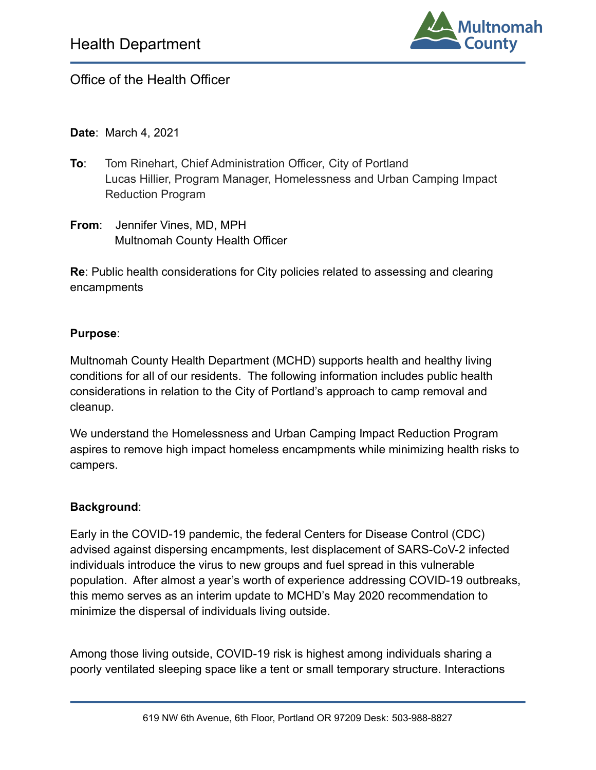

## Office of the Health Officer

**Date**: March 4, 2021

- **To**: Tom Rinehart, Chief Administration Officer, City of Portland Lucas Hillier, Program Manager, Homelessness and Urban Camping Impact Reduction Program
- **From**: Jennifer Vines, MD, MPH Multnomah County Health Officer

**Re**: Public health considerations for City policies related to assessing and clearing encampments

#### **Purpose**:

Multnomah County Health Department (MCHD) supports health and healthy living conditions for all of our residents. The following information includes public health considerations in relation to the City of Portland's approach to camp removal and cleanup.

We understand the Homelessness and Urban Camping Impact Reduction Program aspires to remove high impact homeless encampments while minimizing health risks to campers.

#### **Background**:

Early in the COVID-19 pandemic, the federal Centers for Disease Control (CDC) advised against dispersing encampments, lest displacement of SARS-CoV-2 infected individuals introduce the virus to new groups and fuel spread in this vulnerable population. After almost a year's worth of experience addressing COVID-19 outbreaks, this memo serves as an interim update to MCHD's May 2020 recommendation to minimize the dispersal of individuals living outside.

Among those living outside, COVID-19 risk is highest among individuals sharing a poorly ventilated sleeping space like a tent or small temporary structure. Interactions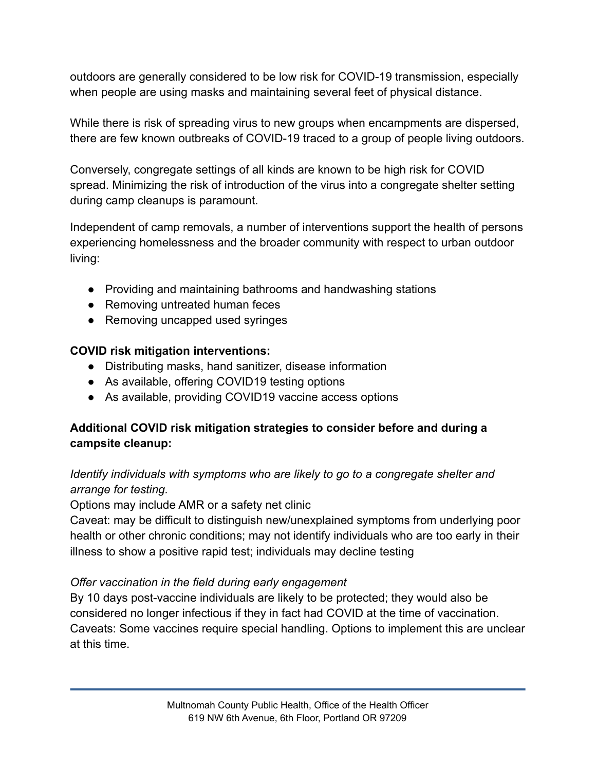outdoors are generally considered to be low risk for COVID-19 transmission, especially when people are using masks and maintaining several feet of physical distance.

While there is risk of spreading virus to new groups when encampments are dispersed, there are few known outbreaks of COVID-19 traced to a group of people living outdoors.

Conversely, congregate settings of all kinds are known to be high risk for COVID spread. Minimizing the risk of introduction of the virus into a congregate shelter setting during camp cleanups is paramount.

Independent of camp removals, a number of interventions support the health of persons experiencing homelessness and the broader community with respect to urban outdoor living:

- Providing and maintaining bathrooms and handwashing stations
- Removing untreated human feces
- Removing uncapped used syringes

### **COVID risk mitigation interventions:**

- Distributing masks, hand sanitizer, disease information
- As available, offering COVID19 testing options
- As available, providing COVID19 vaccine access options

### **Additional COVID risk mitigation strategies to consider before and during a campsite cleanup:**

### *Identify individuals with symptoms who are likely to go to a congregate shelter and arrange for testing.*

Options may include AMR or a safety net clinic

Caveat: may be difficult to distinguish new/unexplained symptoms from underlying poor health or other chronic conditions; may not identify individuals who are too early in their illness to show a positive rapid test; individuals may decline testing

### *Offer vaccination in the field during early engagement*

By 10 days post-vaccine individuals are likely to be protected; they would also be considered no longer infectious if they in fact had COVID at the time of vaccination. Caveats: Some vaccines require special handling. Options to implement this are unclear at this time.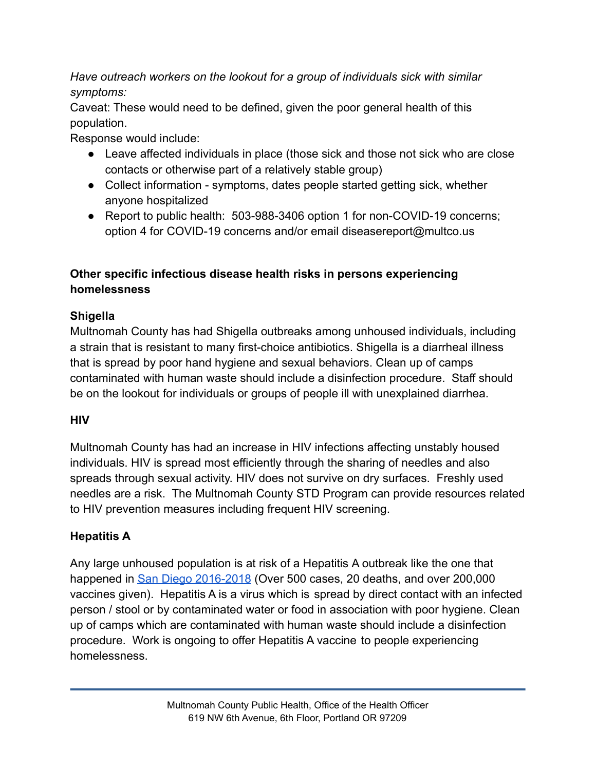*Have outreach workers on the lookout for a group of individuals sick with similar symptoms:*

Caveat: These would need to be defined, given the poor general health of this population.

Response would include:

- Leave affected individuals in place (those sick and those not sick who are close contacts or otherwise part of a relatively stable group)
- Collect information symptoms, dates people started getting sick, whether anyone hospitalized
- Report to public health: 503-988-3406 option 1 for non-COVID-19 concerns; option 4 for COVID-19 concerns and/or email diseasereport@multco.us

## **Other specific infectious disease health risks in persons experiencing homelessness**

## **Shigella**

Multnomah County has had Shigella outbreaks among unhoused individuals, including a strain that is resistant to many first-choice antibiotics. Shigella is a diarrheal illness that is spread by poor hand hygiene and sexual behaviors. Clean up of camps contaminated with human waste should include a disinfection procedure. Staff should be on the lookout for individuals or groups of people ill with unexplained diarrhea.

# **HIV**

Multnomah County has had an increase in HIV infections affecting unstably housed individuals. HIV is spread most efficiently through the sharing of needles and also spreads through sexual activity. HIV does not survive on dry surfaces. Freshly used needles are a risk. The Multnomah County STD Program can provide resources related to HIV prevention measures including frequent HIV screening.

# **Hepatitis A**

Any large unhoused population is at risk of a Hepatitis A outbreak like the one that happened in [San Diego 2016-2018](https://www.sandiegocounty.gov/content/sdc/hhsa/programs/phs/community_epidemiology/dc/Hepatitis_A.html) (Over 500 cases, 20 deaths, and over 200,000 vaccines given). Hepatitis A is a virus which is spread by direct contact with an infected person / stool or by contaminated water or food in association with poor hygiene. Clean up of camps which are contaminated with human waste should include a disinfection procedure. Work is ongoing to offer Hepatitis A vaccine to people experiencing homelessness.